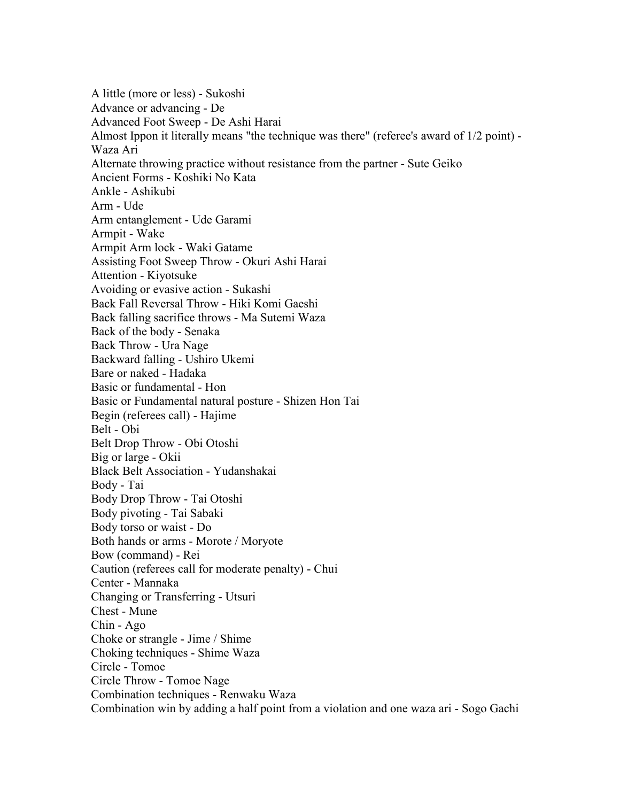A little (more or less) - Sukoshi Advance or advancing - De Advanced Foot Sweep - De Ashi Harai Almost Ippon it literally means "the technique was there" (referee's award of 1/2 point) - Waza Ari Alternate throwing practice without resistance from the partner - Sute Geiko Ancient Forms - Koshiki No Kata Ankle - Ashikubi Arm - Ude Arm entanglement - Ude Garami Armpit - Wake Armpit Arm lock - Waki Gatame Assisting Foot Sweep Throw - Okuri Ashi Harai Attention - Kiyotsuke Avoiding or evasive action - Sukashi Back Fall Reversal Throw - Hiki Komi Gaeshi Back falling sacrifice throws - Ma Sutemi Waza Back of the body - Senaka Back Throw - Ura Nage Backward falling - Ushiro Ukemi Bare or naked - Hadaka Basic or fundamental - Hon Basic or Fundamental natural posture - Shizen Hon Tai Begin (referees call) - Hajime Belt - Obi Belt Drop Throw - Obi Otoshi Big or large - Okii Black Belt Association - Yudanshakai Body - Tai Body Drop Throw - Tai Otoshi Body pivoting - Tai Sabaki Body torso or waist - Do Both hands or arms - Morote / Moryote Bow (command) - Rei Caution (referees call for moderate penalty) - Chui Center - Mannaka Changing or Transferring - Utsuri Chest - Mune Chin - Ago Choke or strangle - Jime / Shime Choking techniques - Shime Waza Circle - Tomoe Circle Throw - Tomoe Nage Combination techniques - Renwaku Waza Combination win by adding a half point from a violation and one waza ari - Sogo Gachi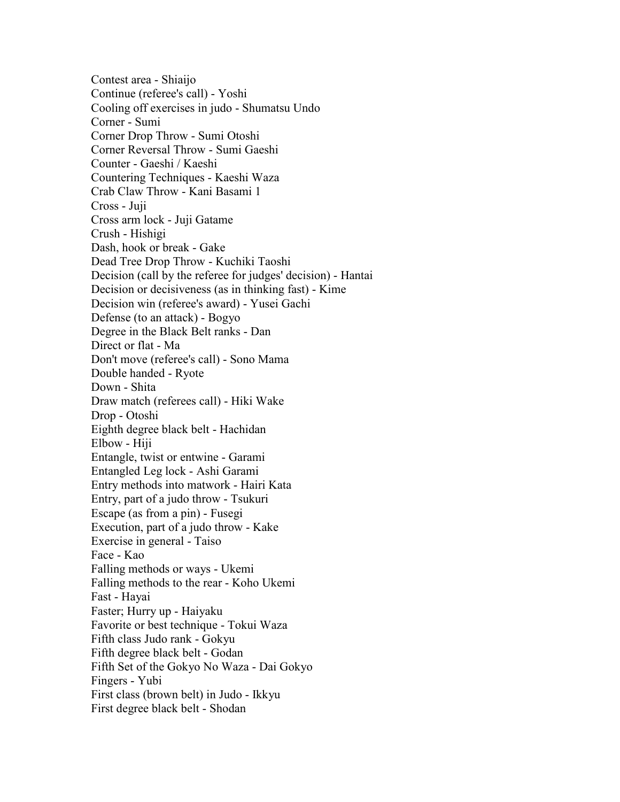Contest area - Shiaijo Continue (referee's call) - Yoshi Cooling off exercises in judo - Shumatsu Undo Corner - Sumi Corner Drop Throw - Sumi Otoshi Corner Reversal Throw - Sumi Gaeshi Counter - Gaeshi / Kaeshi Countering Techniques - Kaeshi Waza Crab Claw Throw - Kani Basami 1 Cross - Juji Cross arm lock - Juji Gatame Crush - Hishigi Dash, hook or break - Gake Dead Tree Drop Throw - Kuchiki Taoshi Decision (call by the referee for judges' decision) - Hantai Decision or decisiveness (as in thinking fast) - Kime Decision win (referee's award) - Yusei Gachi Defense (to an attack) - Bogyo Degree in the Black Belt ranks - Dan Direct or flat - Ma Don't move (referee's call) - Sono Mama Double handed - Ryote Down - Shita Draw match (referees call) - Hiki Wake Drop - Otoshi Eighth degree black belt - Hachidan Elbow - Hiji Entangle, twist or entwine - Garami Entangled Leg lock - Ashi Garami Entry methods into matwork - Hairi Kata Entry, part of a judo throw - Tsukuri Escape (as from a pin) - Fusegi Execution, part of a judo throw - Kake Exercise in general - Taiso Face - Kao Falling methods or ways - Ukemi Falling methods to the rear - Koho Ukemi Fast - Hayai Faster; Hurry up - Haiyaku Favorite or best technique - Tokui Waza Fifth class Judo rank - Gokyu Fifth degree black belt - Godan Fifth Set of the Gokyo No Waza - Dai Gokyo Fingers - Yubi First class (brown belt) in Judo - Ikkyu First degree black belt - Shodan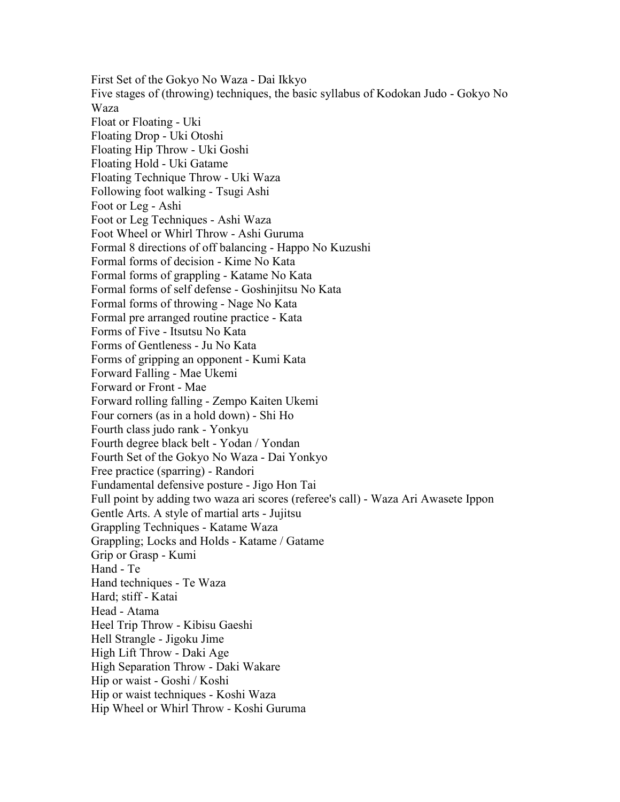First Set of the Gokyo No Waza - Dai Ikkyo Five stages of (throwing) techniques, the basic syllabus of Kodokan Judo - Gokyo No Waza Float or Floating - Uki Floating Drop - Uki Otoshi Floating Hip Throw - Uki Goshi Floating Hold - Uki Gatame Floating Technique Throw - Uki Waza Following foot walking - Tsugi Ashi Foot or Leg - Ashi Foot or Leg Techniques - Ashi Waza Foot Wheel or Whirl Throw - Ashi Guruma Formal 8 directions of off balancing - Happo No Kuzushi Formal forms of decision - Kime No Kata Formal forms of grappling - Katame No Kata Formal forms of self defense - Goshinjitsu No Kata Formal forms of throwing - Nage No Kata Formal pre arranged routine practice - Kata Forms of Five - Itsutsu No Kata Forms of Gentleness - Ju No Kata Forms of gripping an opponent - Kumi Kata Forward Falling - Mae Ukemi Forward or Front - Mae Forward rolling falling - Zempo Kaiten Ukemi Four corners (as in a hold down) - Shi Ho Fourth class judo rank - Yonkyu Fourth degree black belt - Yodan / Yondan Fourth Set of the Gokyo No Waza - Dai Yonkyo Free practice (sparring) - Randori Fundamental defensive posture - Jigo Hon Tai Full point by adding two waza ari scores (referee's call) - Waza Ari Awasete Ippon Gentle Arts. A style of martial arts - Jujitsu Grappling Techniques - Katame Waza Grappling; Locks and Holds - Katame / Gatame Grip or Grasp - Kumi Hand - Te Hand techniques - Te Waza Hard; stiff - Katai Head - Atama Heel Trip Throw - Kibisu Gaeshi Hell Strangle - Jigoku Jime High Lift Throw - Daki Age High Separation Throw - Daki Wakare Hip or waist - Goshi / Koshi Hip or waist techniques - Koshi Waza Hip Wheel or Whirl Throw - Koshi Guruma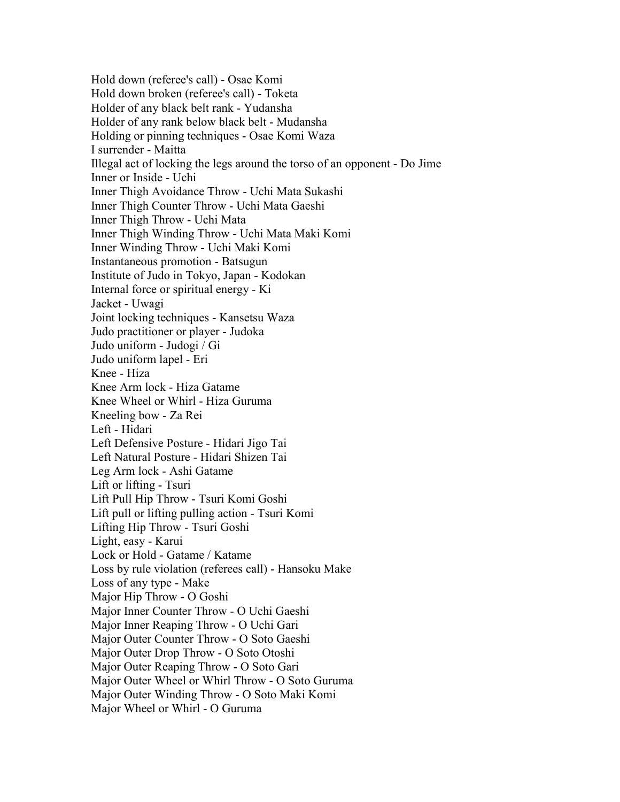Hold down (referee's call) - Osae Komi Hold down broken (referee's call) - Toketa Holder of any black belt rank - Yudansha Holder of any rank below black belt - Mudansha Holding or pinning techniques - Osae Komi Waza I surrender - Maitta Illegal act of locking the legs around the torso of an opponent - Do Jime Inner or Inside - Uchi Inner Thigh Avoidance Throw - Uchi Mata Sukashi Inner Thigh Counter Throw - Uchi Mata Gaeshi Inner Thigh Throw - Uchi Mata Inner Thigh Winding Throw - Uchi Mata Maki Komi Inner Winding Throw - Uchi Maki Komi Instantaneous promotion - Batsugun Institute of Judo in Tokyo, Japan - Kodokan Internal force or spiritual energy - Ki Jacket - Uwagi Joint locking techniques - Kansetsu Waza Judo practitioner or player - Judoka Judo uniform - Judogi / Gi Judo uniform lapel - Eri Knee - Hiza Knee Arm lock - Hiza Gatame Knee Wheel or Whirl - Hiza Guruma Kneeling bow - Za Rei Left - Hidari Left Defensive Posture - Hidari Jigo Tai Left Natural Posture - Hidari Shizen Tai Leg Arm lock - Ashi Gatame Lift or lifting - Tsuri Lift Pull Hip Throw - Tsuri Komi Goshi Lift pull or lifting pulling action - Tsuri Komi Lifting Hip Throw - Tsuri Goshi Light, easy - Karui Lock or Hold - Gatame / Katame Loss by rule violation (referees call) - Hansoku Make Loss of any type - Make Major Hip Throw - O Goshi Major Inner Counter Throw - O Uchi Gaeshi Major Inner Reaping Throw - O Uchi Gari Major Outer Counter Throw - O Soto Gaeshi Major Outer Drop Throw - O Soto Otoshi Major Outer Reaping Throw - O Soto Gari Major Outer Wheel or Whirl Throw - O Soto Guruma Major Outer Winding Throw - O Soto Maki Komi Major Wheel or Whirl - O Guruma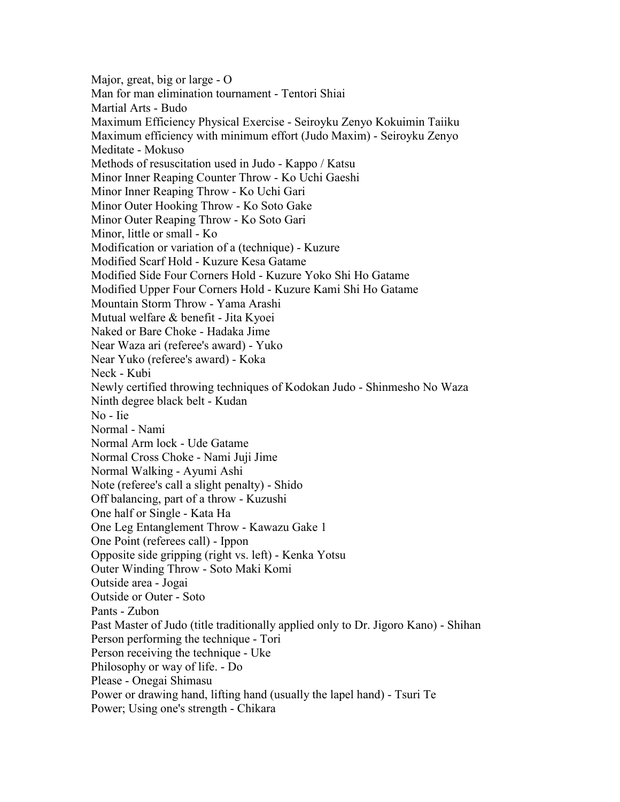Major, great, big or large - O Man for man elimination tournament - Tentori Shiai Martial Arts - Budo Maximum Efficiency Physical Exercise - Seiroyku Zenyo Kokuimin Taiiku Maximum efficiency with minimum effort (Judo Maxim) - Seiroyku Zenyo Meditate - Mokuso Methods of resuscitation used in Judo - Kappo / Katsu Minor Inner Reaping Counter Throw - Ko Uchi Gaeshi Minor Inner Reaping Throw - Ko Uchi Gari Minor Outer Hooking Throw - Ko Soto Gake Minor Outer Reaping Throw - Ko Soto Gari Minor, little or small - Ko Modification or variation of a (technique) - Kuzure Modified Scarf Hold - Kuzure Kesa Gatame Modified Side Four Corners Hold - Kuzure Yoko Shi Ho Gatame Modified Upper Four Corners Hold - Kuzure Kami Shi Ho Gatame Mountain Storm Throw - Yama Arashi Mutual welfare & benefit - Jita Kyoei Naked or Bare Choke - Hadaka Jime Near Waza ari (referee's award) - Yuko Near Yuko (referee's award) - Koka Neck - Kubi Newly certified throwing techniques of Kodokan Judo - Shinmesho No Waza Ninth degree black belt - Kudan No - Iie Normal - Nami Normal Arm lock - Ude Gatame Normal Cross Choke - Nami Juji Jime Normal Walking - Ayumi Ashi Note (referee's call a slight penalty) - Shido Off balancing, part of a throw - Kuzushi One half or Single - Kata Ha One Leg Entanglement Throw - Kawazu Gake 1 One Point (referees call) - Ippon Opposite side gripping (right vs. left) - Kenka Yotsu Outer Winding Throw - Soto Maki Komi Outside area - Jogai Outside or Outer - Soto Pants - Zubon Past Master of Judo (title traditionally applied only to Dr. Jigoro Kano) - Shihan Person performing the technique - Tori Person receiving the technique - Uke Philosophy or way of life. - Do Please - Onegai Shimasu Power or drawing hand, lifting hand (usually the lapel hand) - Tsuri Te Power; Using one's strength - Chikara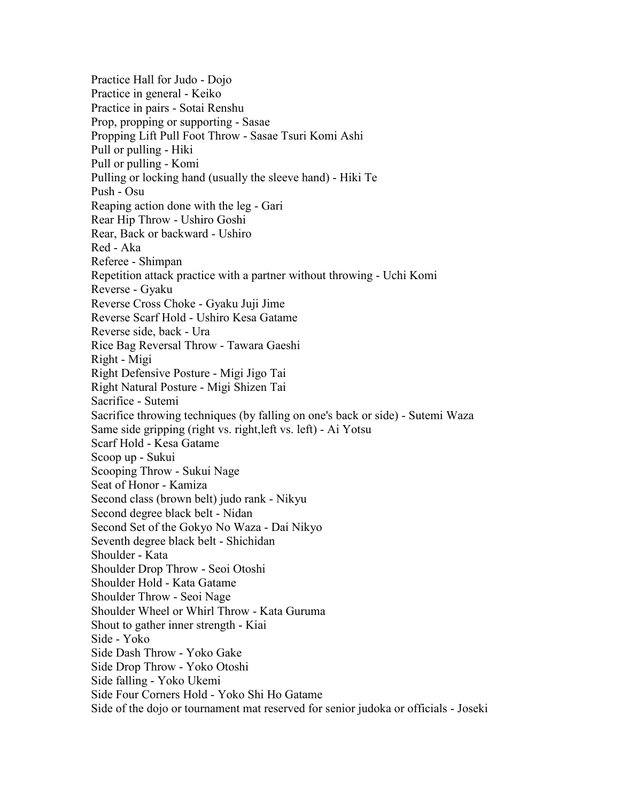Practice Hall for Judo - Dojo Practice in general - Keiko Practice in pairs - Sotai Renshu Prop, propping or supporting - Sasae Propping Lift Pull Foot Throw - Sasae Tsuri Komi Ashi Pull or pulling - Hiki Pull or pulling - Komi Pulling or locking hand (usually the sleeve hand) - Hiki Te Push - Osu Reaping action done with the leg - Gari Rear Hip Throw - Ushiro Goshi Rear, Back or backward - Ushiro Red - Aka Referee - Shimpan Repetition attack practice with a partner without throwing - Uchi Komi Reverse - Gyaku Reverse Cross Choke - Gyaku Juji Jime Reverse Scarf Hold - Ushiro Kesa Gatame Reverse side, back - Ura Rice Bag Reversal Throw - Tawara Gaeshi Right - Migi Right Defensive Posture - Migi Jigo Tai Right Natural Posture - Migi Shizen Tai Sacrifice - Sutemi Sacrifice throwing techniques (by falling on one's back or side) - Sutemi Waza Same side gripping (right vs. right,left vs. left) - Ai Yotsu Scarf Hold - Kesa Gatame Scoop up - Sukui Scooping Throw - Sukui Nage Seat of Honor - Kamiza Second class (brown belt) judo rank - Nikyu Second degree black belt - Nidan Second Set of the Gokyo No Waza - Dai Nikyo Seventh degree black belt - Shichidan Shoulder - Kata Shoulder Drop Throw - Seoi Otoshi Shoulder Hold - Kata Gatame Shoulder Throw - Seoi Nage Shoulder Wheel or Whirl Throw - Kata Guruma Shout to gather inner strength - Kiai Side - Yoko Side Dash Throw - Yoko Gake Side Drop Throw - Yoko Otoshi Side falling - Yoko Ukemi Side Four Corners Hold - Yoko Shi Ho Gatame Side of the dojo or tournament mat reserved for senior judoka or officials - Joseki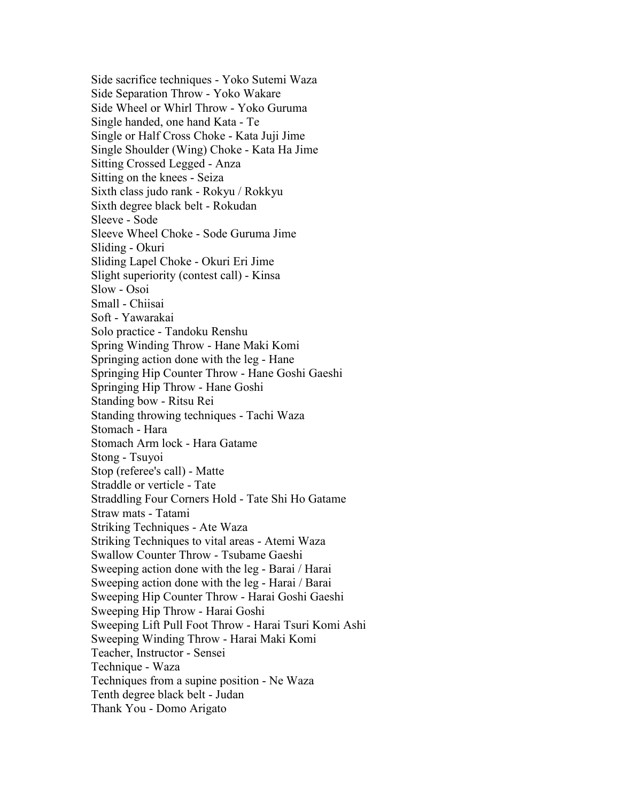Side sacrifice techniques - Yoko Sutemi Waza Side Separation Throw - Yoko Wakare Side Wheel or Whirl Throw - Yoko Guruma Single handed, one hand Kata - Te Single or Half Cross Choke - Kata Juji Jime Single Shoulder (Wing) Choke - Kata Ha Jime Sitting Crossed Legged - Anza Sitting on the knees - Seiza Sixth class judo rank - Rokyu / Rokkyu Sixth degree black belt - Rokudan Sleeve - Sode Sleeve Wheel Choke - Sode Guruma Jime Sliding - Okuri Sliding Lapel Choke - Okuri Eri Jime Slight superiority (contest call) - Kinsa Slow - Osoi Small - Chiisai Soft - Yawarakai Solo practice - Tandoku Renshu Spring Winding Throw - Hane Maki Komi Springing action done with the leg - Hane Springing Hip Counter Throw - Hane Goshi Gaeshi Springing Hip Throw - Hane Goshi Standing bow - Ritsu Rei Standing throwing techniques - Tachi Waza Stomach - Hara Stomach Arm lock - Hara Gatame Stong - Tsuyoi Stop (referee's call) - Matte Straddle or verticle - Tate Straddling Four Corners Hold - Tate Shi Ho Gatame Straw mats - Tatami Striking Techniques - Ate Waza Striking Techniques to vital areas - Atemi Waza Swallow Counter Throw - Tsubame Gaeshi Sweeping action done with the leg - Barai / Harai Sweeping action done with the leg - Harai / Barai Sweeping Hip Counter Throw - Harai Goshi Gaeshi Sweeping Hip Throw - Harai Goshi Sweeping Lift Pull Foot Throw - Harai Tsuri Komi Ashi Sweeping Winding Throw - Harai Maki Komi Teacher, Instructor - Sensei Technique - Waza Techniques from a supine position - Ne Waza Tenth degree black belt - Judan Thank You - Domo Arigato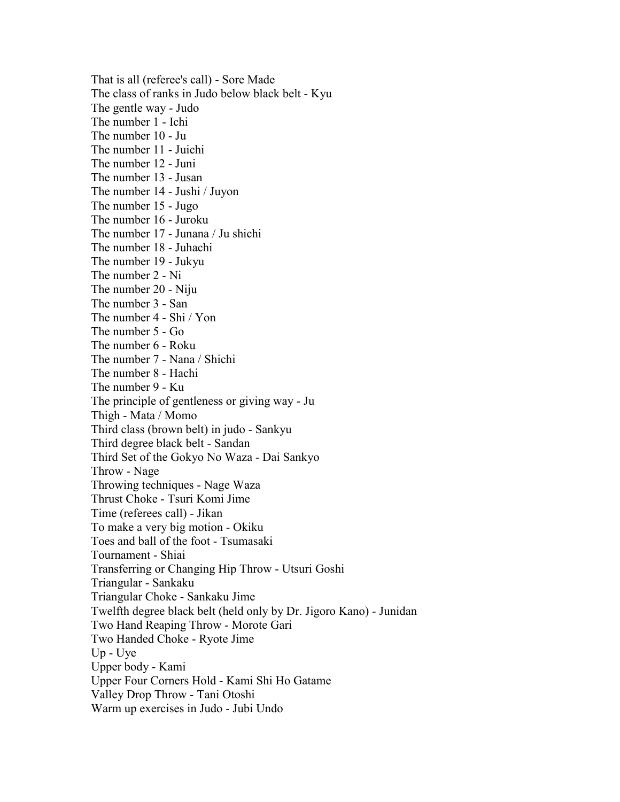That is all (referee's call) - Sore Made The class of ranks in Judo below black belt - Kyu The gentle way - Judo The number 1 - Ichi The number 10 - Ju The number 11 - Juichi The number 12 - Juni The number 13 - Jusan The number 14 - Jushi / Juyon The number 15 - Jugo The number 16 - Juroku The number 17 - Junana / Ju shichi The number 18 - Juhachi The number 19 - Jukyu The number 2 - Ni The number 20 - Niju The number 3 - San The number 4 - Shi / Yon The number 5 - Go The number 6 - Roku The number 7 - Nana / Shichi The number 8 - Hachi The number 9 - Ku The principle of gentleness or giving way - Ju Thigh - Mata / Momo Third class (brown belt) in judo - Sankyu Third degree black belt - Sandan Third Set of the Gokyo No Waza - Dai Sankyo Throw - Nage Throwing techniques - Nage Waza Thrust Choke - Tsuri Komi Jime Time (referees call) - Jikan To make a very big motion - Okiku Toes and ball of the foot - Tsumasaki Tournament - Shiai Transferring or Changing Hip Throw - Utsuri Goshi Triangular - Sankaku Triangular Choke - Sankaku Jime Twelfth degree black belt (held only by Dr. Jigoro Kano) - Junidan Two Hand Reaping Throw - Morote Gari Two Handed Choke - Ryote Jime Up - Uye Upper body - Kami Upper Four Corners Hold - Kami Shi Ho Gatame Valley Drop Throw - Tani Otoshi Warm up exercises in Judo - Jubi Undo